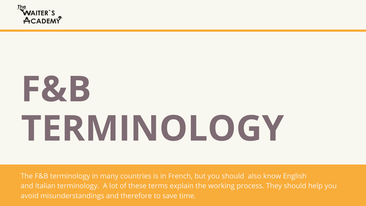The F&B terminology in many countries is in French, but you should also know English and Italian terminology. A lot of these terms explain the working process. They should help you avoid misunderstandings and therefore to save time.





### **F&B TERMINOLOGY**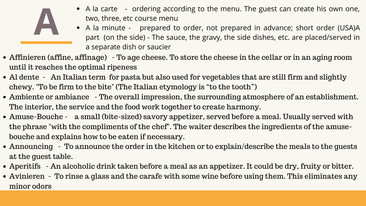

- A la carte ordering according to the menu. The guest can create his own one, two, three, etc course menu
- A la minute prepared to order, not prepared in advance; short order (USA)A part (on the side) - The sauce, the gravy, the side dishes, etc. are placed/served in a separate dish or saucier • A la carte - ordering according to the menu. The guest can create his own one,<br>two, three, etc course menu<br>• A la minute - prepared to order, not prepared in advance; short order (USA)A<br>part (on the side) - The sauce, th
- Affinieren (affine, affinage) To age cheese. To store the cheese in the cellar or in an aging room until it reaches the optimal ripeness
- Al dente An Italian term for pasta but also used for vegetables that are still firm and slightly chewy. "To be firm to the bite" (The Italian etymology is "to the tooth")
- Ambiente or ambiance The overall impression, the surrounding atmosphere of an establishment. The interior, the service and the food work together to create harmony.
- Amuse-Bouche a small (bite-sized) savory appetizer, served before a meal. Usually served with the phrase "with the compliments of the chef". The waiter describes the ingredients of the amusebouche and explains how to be eaten if necessary.
- Announcing To announce the order in the kitchen or to explain/describe the meals to the guests at the guest table.
- Aperitifs An alcoholic drink taken before a meal as an appetizer. It could be dry, fruity or bitter.
- Avinieren To rinse a glass and the carafe with some wine before using them. This eliminates any minor odors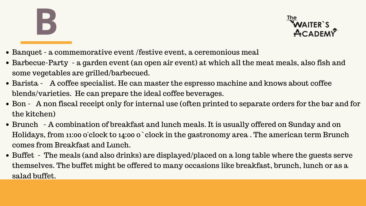

- Banquet a commemorative event /festive event, a ceremonious meal
- Barbecue-Party a garden event (an open air event) at which all the meat meals, also fish and some vegetables are grilled/barbecued.
- Barista A coffee specialist. He can master the espresso machine and knows about coffee blends/varieties. He can prepare the ideal coffee beverages.
- Bon A non fiscal receipt only for internal use (often printed to separate orders for the bar and for the kitchen)
- Brunch A combination of breakfast and lunch meals. It is usually offered on Sunday and on Holidays, from 11:00 o'clock to 14:00 o ` clock in the gastronomy area . The american term Brunch comes from Breakfast and Lunch.
- Buffet The meals (and also drinks) are displayed/placed on a long table where the guests serve themselves. The buffet might be offered to many occasions like breakfast, brunch, lunch or as a salad buffet.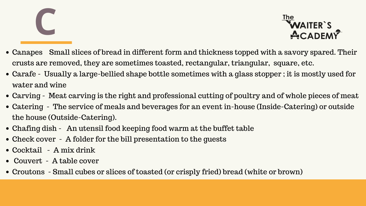

- Canapes Small slices of bread in different form and thickness topped with a savory spared. Their crusts are removed, they are sometimes toasted, rectangular, triangular, square, etc.
- Carafe Usually a large-bellied shape bottle sometimes with a glass stopper ; it is mostly used for water and wine
- Carving Meat carving is the right and professional cutting of poultry and of whole pieces of meat
- Catering The service of meals and beverages for an event in-house (Inside-Catering) or outside the house (Outside-Catering).
- Chafing dish An utensil food keeping food warm at the buffet table
- Check cover A folder for the bill presentation to the guests
- Cocktail A mix drink
- Couvert A table cover
- Croutons Small cubes or slices of toasted (or crisply fried) bread (white or brown)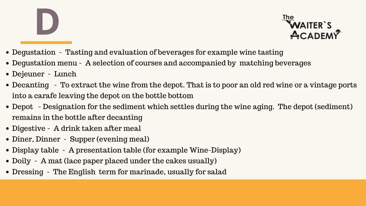- Degustation Tasting and evaluation of beverages for example wine tasting
- Degustation menu A selection of courses and accompanied by matching beverages
- Dejeuner Lunch
- Decanting To extract the wine from the depot. That is to poor an old red wine or a vintage ports into a carafe leaving the depot on the bottle bottom
- Depot Designation for the sediment which settles during the wine aging. The depot (sediment) remains in the bottle after decanting
- Digestive A drink taken after meal
- Diner, Dinner Supper (evening meal)
- Display table A presentation table (for example Wine-Display)
- Doily A mat (lace paper placed under the cakes usually)
- Dressing The English term for marinade, usually for salad

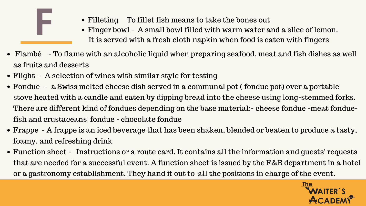

- Filleting To fillet fish means to take the bones out
- Finger bowl A small bowl filled with warm water and a slice of lemon. It is served with a fresh cloth napkin when food is eaten with fingers
- Flambé To flame with an alcoholic liquid when preparing seafood, meat and fish dishes as well as fruits and desserts
- Flight A selection of wines with similar style for testing
- Fondue a Swiss melted cheese dish served in a communal pot ( fondue pot) over a portable stove heated with a candle and eaten by dipping bread into the cheese using long-stemmed forks. There are different kind of fondues depending on the base material:- cheese fondue -meat fonduefish and crustaceans fondue - chocolate fondue
- Frappe A frappe is an iced beverage that has been shaken, blended or beaten to produce a tasty, foamy, and refreshing drink
- Function sheet Instructions or a route card. It contains all the information and guests' requests that are needed for a successful event. A function sheet is issued by the F&B department in a hotel or a gastronomy establishment. They hand it out to all the positions in charge of the event.

• Filleting To fillet fish means to take the bones out<br>• Finger bowl - A small bowl filled with warm water and a slice of lemon.<br>It is served with a fresh cloth napkin when food is eaten with fingers

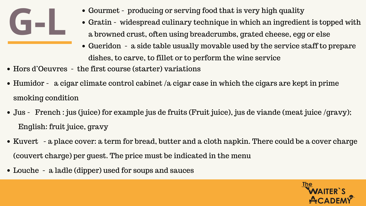

- Gourmet producing or serving food that is very high quality
- Gratin widespread culinary technique in which an ingredient is topped with a browned crust, often using breadcrumbs, grated cheese, egg or else
- Gueridon a side table usually movable used by the service staff to prepare dishes, to carve, to fillet or to perform the wine service
- Hors d'Oeuvres the first course (starter) variations
- Humidor a cigar climate control cabinet /a cigar case in which the cigars are kept in prime smoking condition
- Jus French : jus (juice) for example jus de fruits (Fruit juice), jus de viande (meat juice /gravy); English: fruit juice, gravy
- Kuvert a place cover: a term for bread, butter and a cloth napkin. There could be a cover charge (couvert charge) per guest. The price must be indicated in the menu
- Louche a ladle (dipper) used for soups and sauces

• Gourmet - producing or serving food that is very high quality<br>• Gratin - widespread culinary technique in which an ingredient is topped with<br>a browned crust, often using breadcrumbs, grated cheese, egg or else

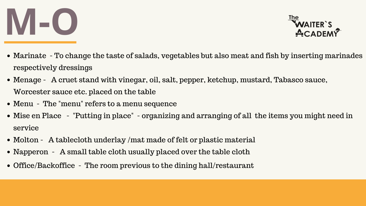### **M-O**

- Marinate To change the taste of salads, vegetables but also meat and fish by inserting marinades respectively dressings
- Menage A cruet stand with vinegar, oil, salt, pepper, ketchup, mustard, Tabasco sauce, Worcester sauce etc. placed on the table
- Menu The "menu" refers to a menu sequence
- Mise en Place "Putting in place" organizing and arranging of all the items you might need in service
- Molton A tablecloth underlay /mat made of felt or plastic material
- Napperon A small table cloth usually placed over the table cloth
- Office/Backoffice The room previous to the dining hall/restaurant

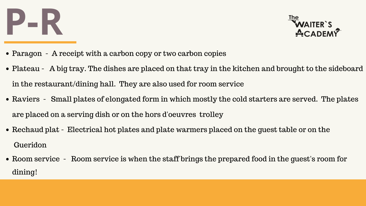# **P-R**<br>WAITER'S ACADEMY

- Paragon A receipt with a carbon copy or two carbon copies
- Plateau A big tray. The dishes are placed on that tray in the kitchen and brought to the sideboard in the restaurant/dining hall. They are also used for room service
- Raviers Small plates of elongated form in which mostly the cold starters are served. The plates are placed on a serving dish or on the hors d'oeuvres trolley
- Rechaud plat Electrical hot plates and plate warmers placed on the quest table or on the Gueridon
- Room service Room service is when the staff brings the prepared food in the quest's room for dining!

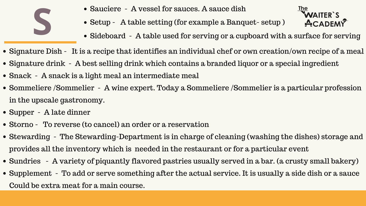

- Sauciere A vessel for sauces. A sauce dish
- Setup A table setting (for example a Banquet- setup )
- Sideboard A table used for serving or a cupboard with a surface for serving
- Sauciere A vessel for sauces. A sauce dish<br>• Setup A table setting (for example a Banquet- setup)<br>• Sideboard A table used for serving or a cupboard with a surface for serving • Signature Dish - It is a recipe that identifies an individual chef or own creation/own recipe of a meal • Signature drink - A best selling drink which contains a branded liquor or a special ingredient
- 
- Snack A snack is a light meal an intermediate meal
- Sommeliere /Sommelier A wine expert. Today a Sommeliere /Sommelier is a particular profession in the upscale gastronomy.
- Supper A late dinner
- Storno To reverse (to cancel) an order or a reservation
- Stewarding The Stewarding-Department is in charge of cleaning (washing the dishes) storage and provides all the inventory which is needed in the restaurant or for a particular event • Sundries - A variety of piquantly flavored pastries usually served in a bar. (a crusty small bakery) • Supplement - To add or serve something after the actual service. It is usually a side dish or a sauce
- 
- Could be extra meat for a main course.